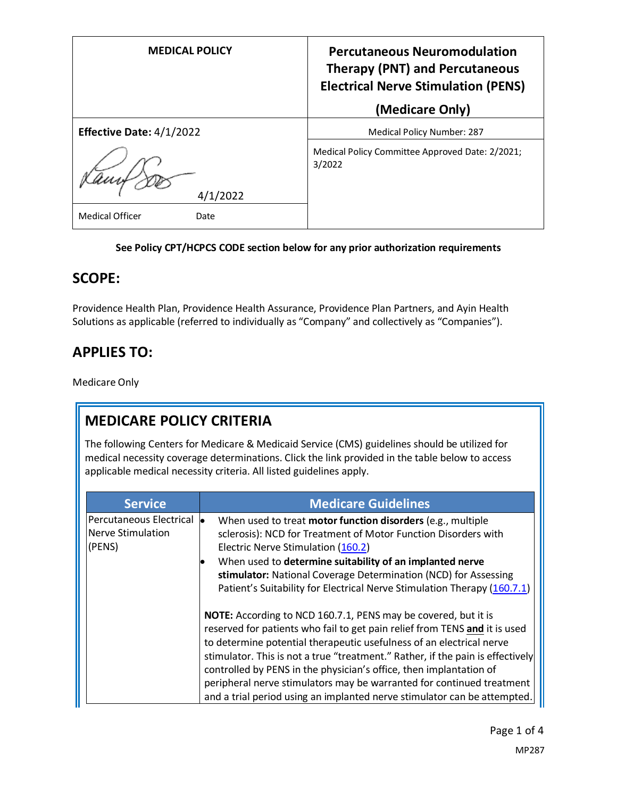| <b>MEDICAL POLICY</b>          | <b>Percutaneous Neuromodulation</b><br><b>Therapy (PNT) and Percutaneous</b><br><b>Electrical Nerve Stimulation (PENS)</b><br>(Medicare Only) |
|--------------------------------|-----------------------------------------------------------------------------------------------------------------------------------------------|
| Effective Date: 4/1/2022       | <b>Medical Policy Number: 287</b>                                                                                                             |
| 4/1/2022                       | Medical Policy Committee Approved Date: 2/2021;<br>3/2022                                                                                     |
| <b>Medical Officer</b><br>Date |                                                                                                                                               |

### **See Policy CPT/HCPCS CODE section below for any prior authorization requirements**

### **SCOPE:**

Providence Health Plan, Providence Health Assurance, Providence Plan Partners, and Ayin Health Solutions as applicable (referred to individually as "Company" and collectively as "Companies").

# **APPLIES TO:**

Medicare Only

# **MEDICARE POLICY CRITERIA**

The following Centers for Medicare & Medicaid Service (CMS) guidelines should be utilized for medical necessity coverage determinations. Click the link provided in the table below to access applicable medical necessity criteria. All listed guidelines apply.

| <b>Service</b>                                         | <b>Medicare Guidelines</b>                                                                                                                                                                                                                                                                                                                                                                                                                                                                                                        |
|--------------------------------------------------------|-----------------------------------------------------------------------------------------------------------------------------------------------------------------------------------------------------------------------------------------------------------------------------------------------------------------------------------------------------------------------------------------------------------------------------------------------------------------------------------------------------------------------------------|
| Percutaneous Electrical<br>Nerve Stimulation<br>(PENS) | When used to treat motor function disorders (e.g., multiple<br>sclerosis): NCD for Treatment of Motor Function Disorders with<br>Electric Nerve Stimulation (160.2)<br>When used to determine suitability of an implanted nerve<br>stimulator: National Coverage Determination (NCD) for Assessing<br>Patient's Suitability for Electrical Nerve Stimulation Therapy (160.7.1)                                                                                                                                                    |
|                                                        | NOTE: According to NCD 160.7.1, PENS may be covered, but it is<br>reserved for patients who fail to get pain relief from TENS and it is used<br>to determine potential therapeutic usefulness of an electrical nerve<br>stimulator. This is not a true "treatment." Rather, if the pain is effectively<br>controlled by PENS in the physician's office, then implantation of<br>peripheral nerve stimulators may be warranted for continued treatment<br>and a trial period using an implanted nerve stimulator can be attempted. |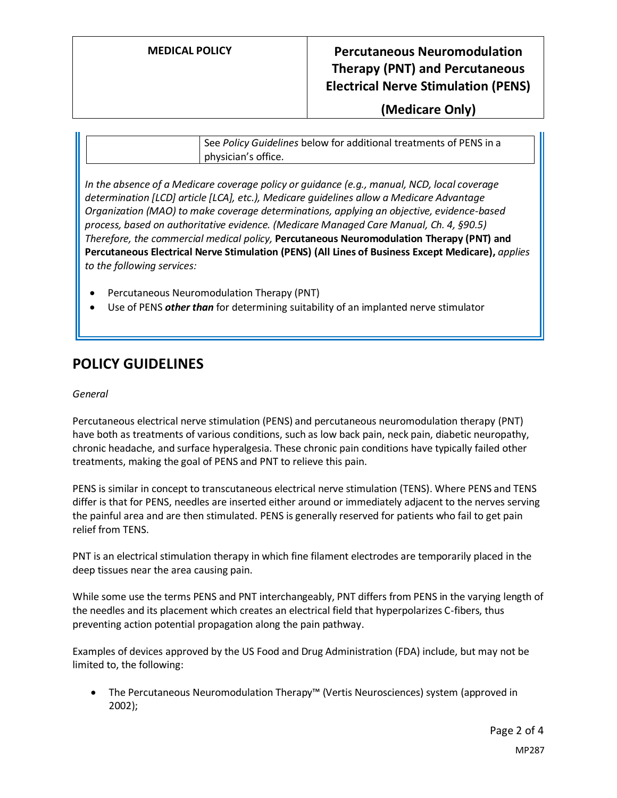### **MEDICAL POLICY Percutaneous Neuromodulation Therapy (PNT) and Percutaneous Electrical Nerve Stimulation (PENS)**

**(Medicare Only)**

See *Policy Guidelines* below for additional treatments of PENS in a physician's office.

*In the absence of a Medicare coverage policy or guidance (e.g., manual, NCD, local coverage determination [LCD] article [LCA], etc.), Medicare guidelines allow a Medicare Advantage Organization (MAO) to make coverage determinations, applying an objective, evidence-based process, based on authoritative evidence. (Medicare Managed Care Manual, Ch. 4, §90.5) Therefore, the commercial medical policy,* **Percutaneous Neuromodulation Therapy (PNT) and Percutaneous Electrical Nerve Stimulation (PENS) (All Lines of Business Except Medicare),** *applies to the following services:*

- Percutaneous Neuromodulation Therapy (PNT)
- Use of PENS *other than* for determining suitability of an implanted nerve stimulator

### **POLICY GUIDELINES**

#### *General*

Percutaneous electrical nerve stimulation (PENS) and percutaneous neuromodulation therapy (PNT) have both as treatments of various conditions, such as low back pain, neck pain, diabetic neuropathy, chronic headache, and surface hyperalgesia. These chronic pain conditions have typically failed other treatments, making the goal of PENS and PNT to relieve this pain.

PENS is similar in concept to transcutaneous electrical nerve stimulation (TENS). Where PENS and TENS differ is that for PENS, needles are inserted either around or immediately adjacent to the nerves serving the painful area and are then stimulated. PENS is generally reserved for patients who fail to get pain relief from TENS.

PNT is an electrical stimulation therapy in which fine filament electrodes are temporarily placed in the deep tissues near the area causing pain.

While some use the terms PENS and PNT interchangeably, PNT differs from PENS in the varying length of the needles and its placement which creates an electrical field that hyperpolarizes C-fibers, thus preventing action potential propagation along the pain pathway.

Examples of devices approved by the US Food and Drug Administration (FDA) include, but may not be limited to, the following:

• The Percutaneous Neuromodulation Therapy™ (Vertis Neurosciences) system (approved in 2002);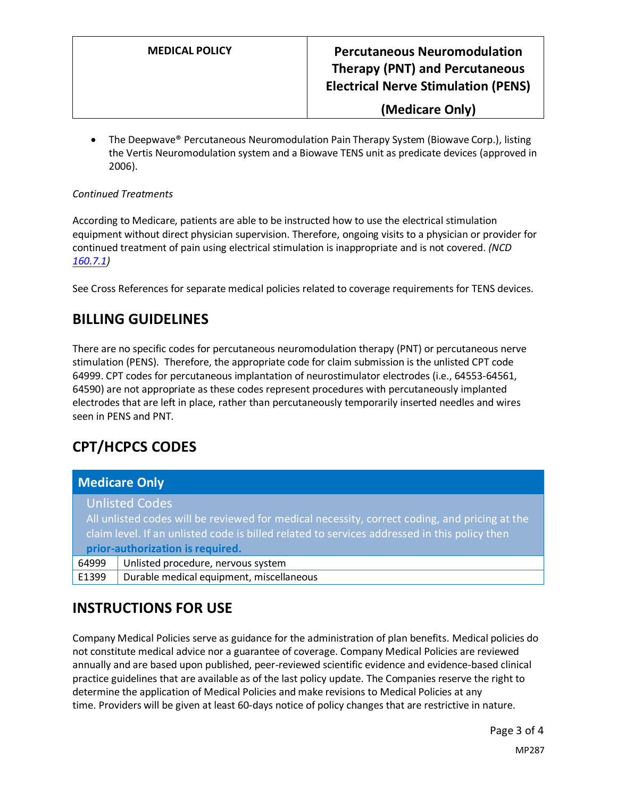**MEDICAL POLICY Percutaneous Neuromodulation Therapy (PNT) and Percutaneous Electrical Nerve Stimulation (PENS)**

**(Medicare Only)**

• The Deepwave® Percutaneous Neuromodulation Pain Therapy System (Biowave Corp.), listing the Vertis Neuromodulation system and a Biowave TENS unit as predicate devices (approved in 2006).

#### *Continued Treatments*

According to Medicare, patients are able to be instructed how to use the electrical stimulation equipment without direct physician supervision. Therefore, ongoing visits to a physician or provider for continued treatment of pain using electrical stimulation is inappropriate and is not covered. *(NCD [160.7.1\)](https://www.cms.gov/medicare-coverage-database/view/ncd.aspx?ncdid=63)*

See Cross References for separate medical policies related to coverage requirements for TENS devices.

### **BILLING GUIDELINES**

There are no specific codes for percutaneous neuromodulation therapy (PNT) or percutaneous nerve stimulation (PENS). Therefore, the appropriate code for claim submission is the unlisted CPT code 64999. CPT codes for percutaneous implantation of neurostimulator electrodes (i.e., 64553-64561, 64590) are not appropriate as these codes represent procedures with percutaneously implanted electrodes that are left in place, rather than percutaneously temporarily inserted needles and wires seen in PENS and PNT.

# **CPT/HCPCS CODES**

|                                                                                               | <b>Medicare Only</b>                     |
|-----------------------------------------------------------------------------------------------|------------------------------------------|
|                                                                                               | <b>Unlisted Codes</b>                    |
| All unlisted codes will be reviewed for medical necessity, correct coding, and pricing at the |                                          |
| claim level. If an unlisted code is billed related to services addressed in this policy then  |                                          |
| prior-authorization is required.                                                              |                                          |
| 64999                                                                                         | Unlisted procedure, nervous system       |
| E1399                                                                                         | Durable medical equipment, miscellaneous |

### **INSTRUCTIONS FOR USE**

Company Medical Policies serve as guidance for the administration of plan benefits. Medical policies do not constitute medical advice nor a guarantee of coverage. Company Medical Policies are reviewed annually and are based upon published, peer-reviewed scientific evidence and evidence-based clinical practice guidelines that are available as of the last policy update. The Companies reserve the right to determine the application of Medical Policies and make revisions to Medical Policies at any time. Providers will be given at least 60-days notice of policy changes that are restrictive in nature.